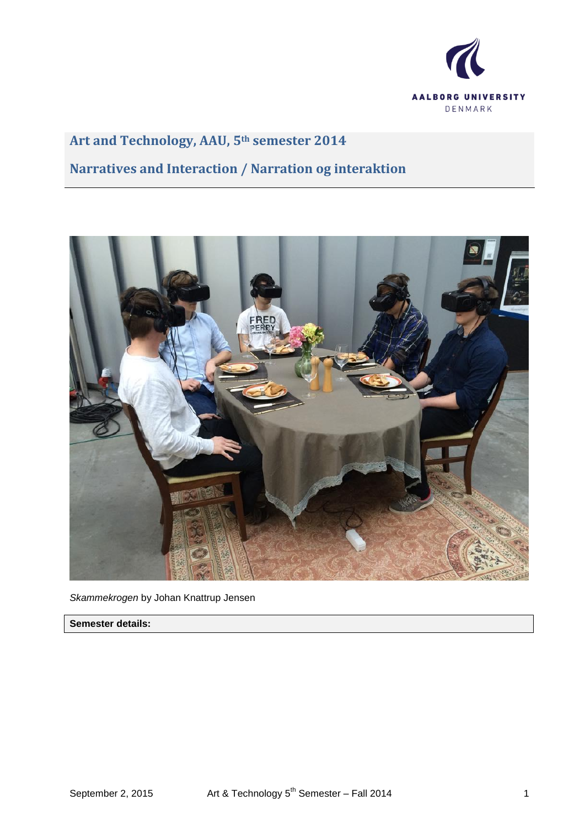

# **Art and Technology, AAU, 5th semester 2014**

# **Narratives and Interaction / Narration og interaktion**



*Skammekrogen* by Johan Knattrup Jensen

**Semester details:**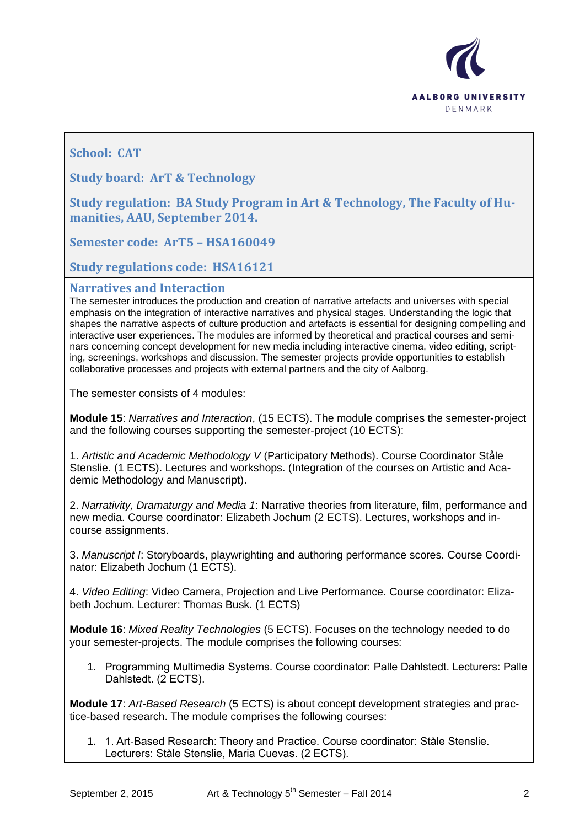

# **School: CAT**

**Study board: ArT & Technology**

**Study regulation: BA Study Program in Art & Technology, The Faculty of Humanities, AAU, September 2014.**

**Semester code: ArT5 – HSA160049**

**Study regulations code: HSA16121**

## **Narratives and Interaction**

The semester introduces the production and creation of narrative artefacts and universes with special emphasis on the integration of interactive narratives and physical stages. Understanding the logic that shapes the narrative aspects of culture production and artefacts is essential for designing compelling and interactive user experiences. The modules are informed by theoretical and practical courses and seminars concerning concept development for new media including interactive cinema, video editing, scripting, screenings, workshops and discussion. The semester projects provide opportunities to establish collaborative processes and projects with external partners and the city of Aalborg.

The semester consists of 4 modules:

**Module 15**: *Narratives and Interaction*, (15 ECTS). The module comprises the semester-project and the following courses supporting the semester-project (10 ECTS):

1. *Artistic and Academic Methodology V* (Participatory Methods). Course Coordinator Ståle Stenslie. (1 ECTS). Lectures and workshops. (Integration of the courses on Artistic and Academic Methodology and Manuscript).

2. *Narrativity, Dramaturgy and Media 1*: Narrative theories from literature, film, performance and new media. Course coordinator: Elizabeth Jochum (2 ECTS). Lectures, workshops and incourse assignments.

3. *Manuscript I*: Storyboards, playwrighting and authoring performance scores. Course Coordinator: Elizabeth Jochum (1 ECTS).

4. *Video Editing*: Video Camera, Projection and Live Performance. Course coordinator: Elizabeth Jochum. Lecturer: Thomas Busk. (1 ECTS)

**Module 16**: *Mixed Reality Technologies* (5 ECTS). Focuses on the technology needed to do your semester-projects. The module comprises the following courses:

1. Programming Multimedia Systems. Course coordinator: Palle Dahlstedt. Lecturers: Palle Dahlstedt. (2 ECTS).

**Module 17**: *Art-Based Research* (5 ECTS) is about concept development strategies and practice-based research. The module comprises the following courses:

1. 1. Art-Based Research: Theory and Practice. Course coordinator: Ståle Stenslie. Lecturers: Ståle Stenslie, Maria Cuevas. (2 ECTS).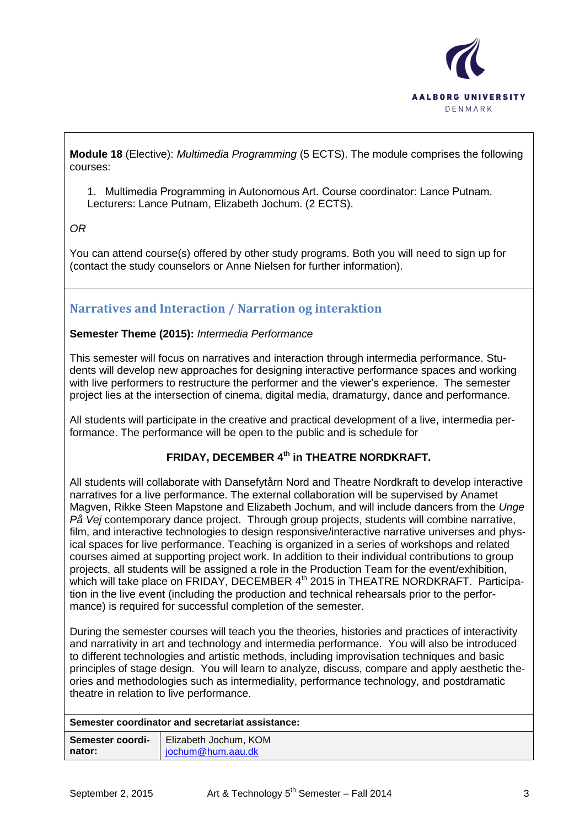

**Module 18** (Elective): *Multimedia Programming* (5 ECTS). The module comprises the following courses:

1. Multimedia Programming in Autonomous Art. Course coordinator: Lance Putnam. Lecturers: Lance Putnam, Elizabeth Jochum. (2 ECTS).

*OR* 

You can attend course(s) offered by other study programs. Both you will need to sign up for (contact the study counselors or Anne Nielsen for further information).

# **Narratives and Interaction / Narration og interaktion**

## **Semester Theme (2015):** *Intermedia Performance*

This semester will focus on narratives and interaction through intermedia performance. Students will develop new approaches for designing interactive performance spaces and working with live performers to restructure the performer and the viewer's experience. The semester project lies at the intersection of cinema, digital media, dramaturgy, dance and performance.

All students will participate in the creative and practical development of a live, intermedia performance. The performance will be open to the public and is schedule for

# **FRIDAY, DECEMBER 4th in THEATRE NORDKRAFT.**

All students will collaborate with Dansefytårn Nord and Theatre Nordkraft to develop interactive narratives for a live performance. The external collaboration will be supervised by Anamet Magven, Rikke Steen Mapstone and Elizabeth Jochum, and will include dancers from the *Unge På Vej* contemporary dance project. Through group projects, students will combine narrative, film, and interactive technologies to design responsive/interactive narrative universes and physical spaces for live performance. Teaching is organized in a series of workshops and related courses aimed at supporting project work. In addition to their individual contributions to group projects, all students will be assigned a role in the Production Team for the event/exhibition, which will take place on FRIDAY, DECEMBER 4<sup>th</sup> 2015 in THEATRE NORDKRAFT. Participation in the live event (including the production and technical rehearsals prior to the performance) is required for successful completion of the semester.

During the semester courses will teach you the theories, histories and practices of interactivity and narrativity in art and technology and intermedia performance. You will also be introduced to different technologies and artistic methods, including improvisation techniques and basic principles of stage design. You will learn to analyze, discuss, compare and apply aesthetic theories and methodologies such as intermediality, performance technology, and postdramatic theatre in relation to live performance.

| Semester coordi- | Elizabeth Jochum, KOM |
|------------------|-----------------------|
| nator:           | jochum@hum.aau.dk     |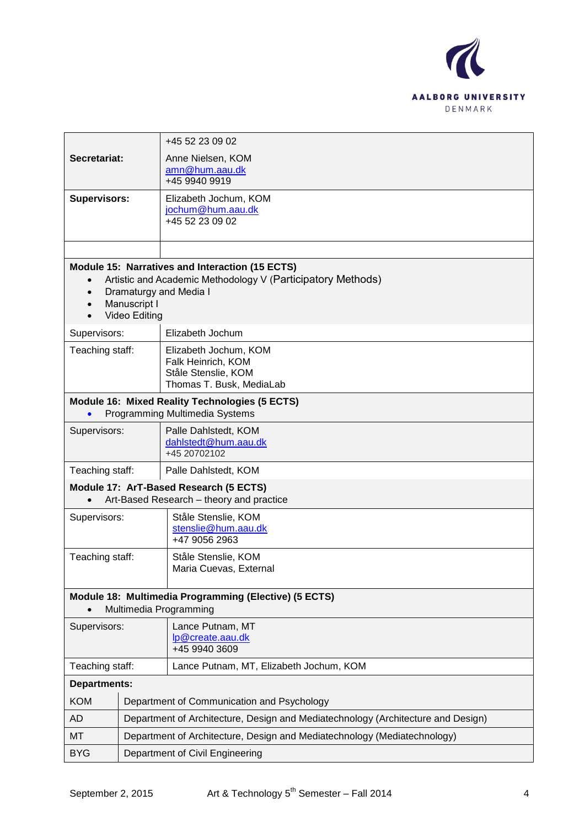

|                                                                                    |                                                                          | +45 52 23 09 02                                                                  |
|------------------------------------------------------------------------------------|--------------------------------------------------------------------------|----------------------------------------------------------------------------------|
| Secretariat:                                                                       |                                                                          | Anne Nielsen, KOM<br>amn@hum.aau.dk                                              |
|                                                                                    |                                                                          | +45 9940 9919                                                                    |
| <b>Supervisors:</b>                                                                |                                                                          | Elizabeth Jochum, KOM<br>jochum@hum.aau.dk                                       |
|                                                                                    |                                                                          | +45 52 23 09 02                                                                  |
|                                                                                    |                                                                          |                                                                                  |
|                                                                                    |                                                                          | <b>Module 15: Narratives and Interaction (15 ECTS)</b>                           |
| $\bullet$                                                                          |                                                                          | Artistic and Academic Methodology V (Participatory Methods)                      |
| $\bullet$<br>$\bullet$                                                             | Manuscript I                                                             | Dramaturgy and Media I                                                           |
| $\bullet$                                                                          | <b>Video Editing</b>                                                     |                                                                                  |
| Supervisors:                                                                       |                                                                          | Elizabeth Jochum                                                                 |
| Teaching staff:                                                                    |                                                                          | Elizabeth Jochum, KOM                                                            |
|                                                                                    |                                                                          | Falk Heinrich, KOM<br>Ståle Stenslie, KOM                                        |
|                                                                                    |                                                                          | Thomas T. Busk, MediaLab                                                         |
|                                                                                    |                                                                          | Module 16: Mixed Reality Technologies (5 ECTS)                                   |
|                                                                                    |                                                                          | Programming Multimedia Systems                                                   |
| Supervisors:                                                                       |                                                                          | Palle Dahlstedt, KOM<br>dahlstedt@hum.aau.dk                                     |
|                                                                                    |                                                                          | +45 20702102                                                                     |
| Teaching staff:<br>Palle Dahlstedt, KOM                                            |                                                                          |                                                                                  |
| Module 17: ArT-Based Research (5 ECTS)<br>Art-Based Research - theory and practice |                                                                          |                                                                                  |
| Supervisors:                                                                       |                                                                          | Ståle Stenslie, KOM                                                              |
|                                                                                    |                                                                          | stenslie@hum.aau.dk<br>+47 9056 2963                                             |
| Teaching staff:                                                                    |                                                                          | Ståle Stenslie, KOM                                                              |
|                                                                                    |                                                                          | Maria Cuevas, External                                                           |
| Module 18: Multimedia Programming (Elective) (5 ECTS)                              |                                                                          |                                                                                  |
| Multimedia Programming                                                             |                                                                          |                                                                                  |
| Supervisors:                                                                       |                                                                          | Lance Putnam, MT<br>lp@create.aau.dk                                             |
|                                                                                    |                                                                          | +45 9940 3609                                                                    |
| Teaching staff:                                                                    |                                                                          | Lance Putnam, MT, Elizabeth Jochum, KOM                                          |
| <b>Departments:</b>                                                                |                                                                          |                                                                                  |
| <b>KOM</b>                                                                         |                                                                          | Department of Communication and Psychology                                       |
| <b>AD</b>                                                                          |                                                                          | Department of Architecture, Design and Mediatechnology (Architecture and Design) |
| MT                                                                                 | Department of Architecture, Design and Mediatechnology (Mediatechnology) |                                                                                  |
| <b>BYG</b>                                                                         |                                                                          | Department of Civil Engineering                                                  |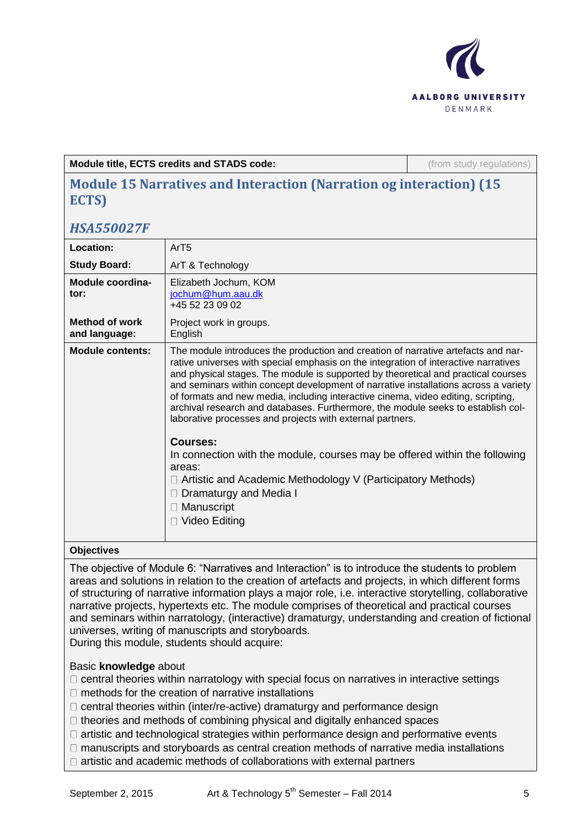

**Module title, ECTS credits and STADS code:** (from study regulations)

# **Module 15 Narratives and Interaction (Narration og interaction) (15 ECTS)**

# *HSA550027F*

| Location:                              | ArT5                                                                                                                                                                                                                                                                                                                                                                                                                                                                                                                                                                                                                                                                                                                                                                                                                                        |
|----------------------------------------|---------------------------------------------------------------------------------------------------------------------------------------------------------------------------------------------------------------------------------------------------------------------------------------------------------------------------------------------------------------------------------------------------------------------------------------------------------------------------------------------------------------------------------------------------------------------------------------------------------------------------------------------------------------------------------------------------------------------------------------------------------------------------------------------------------------------------------------------|
| <b>Study Board:</b>                    | ArT & Technology                                                                                                                                                                                                                                                                                                                                                                                                                                                                                                                                                                                                                                                                                                                                                                                                                            |
| Module coordina-<br>tor:               | Elizabeth Jochum, KOM<br>jochum@hum.aau.dk<br>+45 52 23 09 02                                                                                                                                                                                                                                                                                                                                                                                                                                                                                                                                                                                                                                                                                                                                                                               |
| <b>Method of work</b><br>and language: | Project work in groups.<br>English                                                                                                                                                                                                                                                                                                                                                                                                                                                                                                                                                                                                                                                                                                                                                                                                          |
| <b>Module contents:</b>                | The module introduces the production and creation of narrative artefacts and nar-<br>rative universes with special emphasis on the integration of interactive narratives<br>and physical stages. The module is supported by theoretical and practical courses<br>and seminars within concept development of narrative installations across a variety<br>of formats and new media, including interactive cinema, video editing, scripting,<br>archival research and databases. Furthermore, the module seeks to establish col-<br>laborative processes and projects with external partners.<br>Courses:<br>In connection with the module, courses may be offered within the following<br>areas:<br>$\Box$ Artistic and Academic Methodology V (Participatory Methods)<br>Dramaturgy and Media I<br>$\Box$ Manuscript<br>$\Box$ Video Editing |

## **Objectives**

The objective of Module 6: "Narratives and Interaction" is to introduce the students to problem areas and solutions in relation to the creation of artefacts and projects, in which different forms of structuring of narrative information plays a major role, i.e. interactive storytelling, collaborative narrative projects, hypertexts etc. The module comprises of theoretical and practical courses and seminars within narratology, (interactive) dramaturgy, understanding and creation of fictional universes, writing of manuscripts and storyboards.

During this module, students should acquire:

## Basic **knowledge** about

- $\Box$  central theories within narratology with special focus on narratives in interactive settings
- $\Box$  methods for the creation of narrative installations
- $\Box$  central theories within (inter/re-active) dramaturgy and performance design
- $\Box$  theories and methods of combining physical and digitally enhanced spaces
- $\Box$  artistic and technological strategies within performance design and performative events
- manuscripts and storyboards as central creation methods of narrative media installations
- $\Box$  artistic and academic methods of collaborations with external partners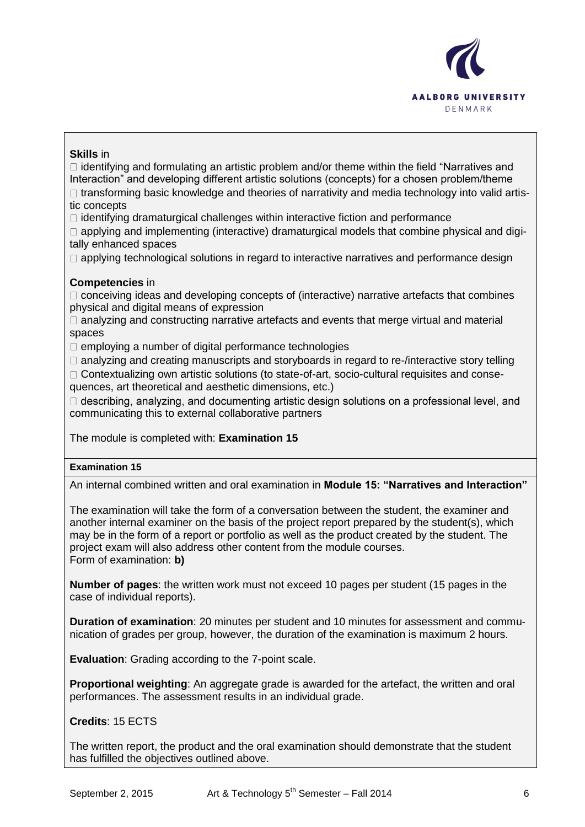

## **Skills** in

 $\Box$  identifying and formulating an artistic problem and/or theme within the field "Narratives and Interaction" and developing different artistic solutions (concepts) for a chosen problem/theme

 $\Box$  transforming basic knowledge and theories of narrativity and media technology into valid artistic concepts

 $\Box$  identifying dramaturgical challenges within interactive fiction and performance

 $\Box$  applying and implementing (interactive) dramaturgical models that combine physical and digitally enhanced spaces

 $\Box$  applying technological solutions in regard to interactive narratives and performance design

## **Competencies** in

 $\Box$  conceiving ideas and developing concepts of (interactive) narrative artefacts that combines physical and digital means of expression

 $\Box$  analyzing and constructing narrative artefacts and events that merge virtual and material spaces

 $\Box$  employing a number of digital performance technologies

 $\Box$  analyzing and creating manuscripts and storyboards in regard to re-/interactive story telling

 $\Box$  Contextualizing own artistic solutions (to state-of-art, socio-cultural requisites and consequences, art theoretical and aesthetic dimensions, etc.)

□ describing, analyzing, and documenting artistic design solutions on a professional level, and communicating this to external collaborative partners

The module is completed with: **Examination 15** 

## **Examination 15**

An internal combined written and oral examination in **Module 15: "Narratives and Interaction"**

The examination will take the form of a conversation between the student, the examiner and another internal examiner on the basis of the project report prepared by the student(s), which may be in the form of a report or portfolio as well as the product created by the student. The project exam will also address other content from the module courses. Form of examination: **b)**

**Number of pages**: the written work must not exceed 10 pages per student (15 pages in the case of individual reports).

**Duration of examination**: 20 minutes per student and 10 minutes for assessment and communication of grades per group, however, the duration of the examination is maximum 2 hours.

**Evaluation**: Grading according to the 7-point scale.

**Proportional weighting**: An aggregate grade is awarded for the artefact, the written and oral performances. The assessment results in an individual grade.

**Credits**: 15 ECTS

The written report, the product and the oral examination should demonstrate that the student has fulfilled the objectives outlined above.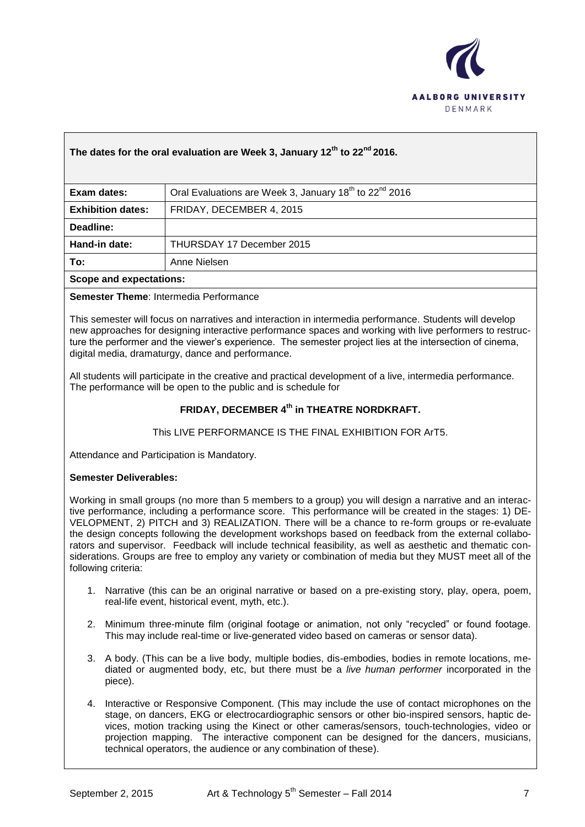

## **The dates for the oral evaluation are Week 3, January 12th to 22nd 2016.**

| Exam dates:              | Oral Evaluations are Week 3, January 18 <sup>th</sup> to 22 <sup>nd</sup> 2016 |
|--------------------------|--------------------------------------------------------------------------------|
| <b>Exhibition dates:</b> | FRIDAY, DECEMBER 4, 2015                                                       |
| Deadline:                |                                                                                |
| Hand-in date:            | THURSDAY 17 December 2015                                                      |
| To:                      | Anne Nielsen                                                                   |
| Scope and expectations:  |                                                                                |

### **Semester Theme**: Intermedia Performance

This semester will focus on narratives and interaction in intermedia performance. Students will develop new approaches for designing interactive performance spaces and working with live performers to restructure the performer and the viewer's experience. The semester project lies at the intersection of cinema, digital media, dramaturgy, dance and performance.

All students will participate in the creative and practical development of a live, intermedia performance. The performance will be open to the public and is schedule for

## **FRIDAY, DECEMBER 4th in THEATRE NORDKRAFT.**

### This LIVE PERFORMANCE IS THE FINAL EXHIBITION FOR ArT5.

Attendance and Participation is Mandatory.

#### **Semester Deliverables:**

Working in small groups (no more than 5 members to a group) you will design a narrative and an interactive performance, including a performance score. This performance will be created in the stages: 1) DE-VELOPMENT, 2) PITCH and 3) REALIZATION. There will be a chance to re-form groups or re-evaluate the design concepts following the development workshops based on feedback from the external collaborators and supervisor. Feedback will include technical feasibility, as well as aesthetic and thematic considerations. Groups are free to employ any variety or combination of media but they MUST meet all of the following criteria:

- 1. Narrative (this can be an original narrative or based on a pre-existing story, play, opera, poem, real-life event, historical event, myth, etc.).
- 2. Minimum three-minute film (original footage or animation, not only "recycled" or found footage. This may include real-time or live-generated video based on cameras or sensor data).
- 3. A body. (This can be a live body, multiple bodies, dis-embodies, bodies in remote locations, mediated or augmented body, etc, but there must be a *live human performer* incorporated in the piece).
- 4. Interactive or Responsive Component. (This may include the use of contact microphones on the stage, on dancers, EKG or electrocardiographic sensors or other bio-inspired sensors, haptic devices, motion tracking using the Kinect or other cameras/sensors, touch-technologies, video or projection mapping. The interactive component can be designed for the dancers, musicians, technical operators, the audience or any combination of these).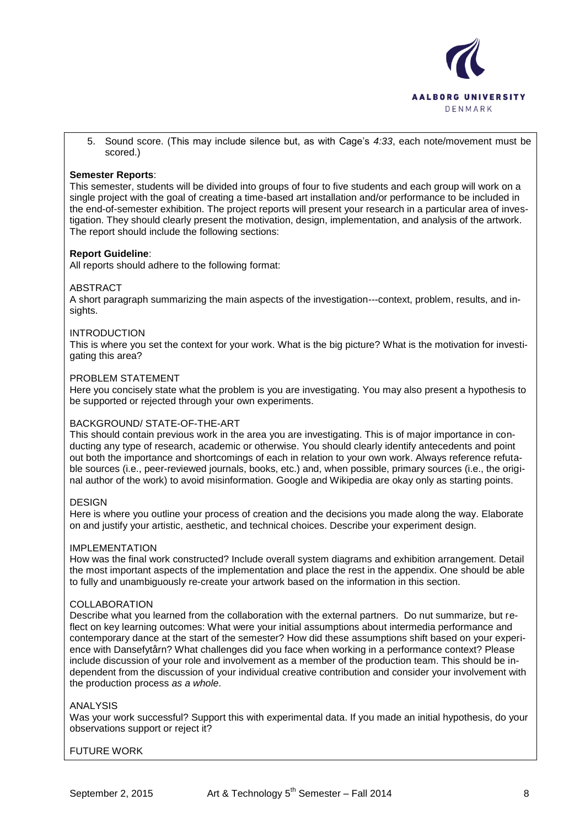

5. Sound score. (This may include silence but, as with Cage's *4:33*, each note/movement must be scored.)

### **Semester Reports**:

This semester, students will be divided into groups of four to five students and each group will work on a single project with the goal of creating a time-based art installation and/or performance to be included in the end-of-semester exhibition. The project reports will present your research in a particular area of investigation. They should clearly present the motivation, design, implementation, and analysis of the artwork. The report should include the following sections:

#### **Report Guideline**:

All reports should adhere to the following format:

#### ABSTRACT

A short paragraph summarizing the main aspects of the investigation---context, problem, results, and insights.

#### INTRODUCTION

This is where you set the context for your work. What is the big picture? What is the motivation for investigating this area?

#### PROBLEM STATEMENT

Here you concisely state what the problem is you are investigating. You may also present a hypothesis to be supported or rejected through your own experiments.

### BACKGROUND/ STATE-OF-THE-ART

This should contain previous work in the area you are investigating. This is of major importance in conducting any type of research, academic or otherwise. You should clearly identify antecedents and point out both the importance and shortcomings of each in relation to your own work. Always reference refutable sources (i.e., peer-reviewed journals, books, etc.) and, when possible, primary sources (i.e., the original author of the work) to avoid misinformation. Google and Wikipedia are okay only as starting points.

#### **DESIGN**

Here is where you outline your process of creation and the decisions you made along the way. Elaborate on and justify your artistic, aesthetic, and technical choices. Describe your experiment design.

#### IMPLEMENTATION

How was the final work constructed? Include overall system diagrams and exhibition arrangement. Detail the most important aspects of the implementation and place the rest in the appendix. One should be able to fully and unambiguously re-create your artwork based on the information in this section.

#### COLLABORATION

Describe what you learned from the collaboration with the external partners. Do nut summarize, but reflect on key learning outcomes: What were your initial assumptions about intermedia performance and contemporary dance at the start of the semester? How did these assumptions shift based on your experience with Dansefytårn? What challenges did you face when working in a performance context? Please include discussion of your role and involvement as a member of the production team. This should be independent from the discussion of your individual creative contribution and consider your involvement with the production process *as a whole*.

#### ANALYSIS

Was your work successful? Support this with experimental data. If you made an initial hypothesis, do your observations support or reject it?

### FUTURE WORK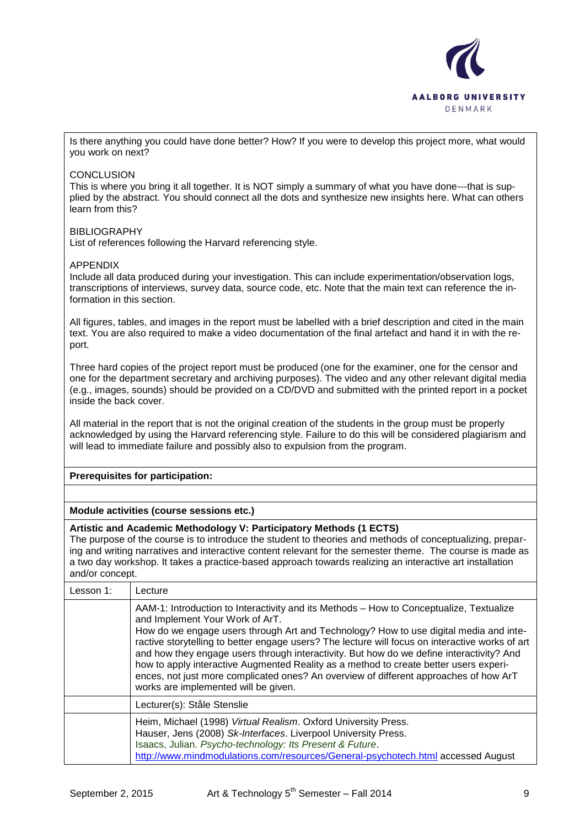

Is there anything you could have done better? How? If you were to develop this project more, what would you work on next?

### **CONCLUSION**

This is where you bring it all together. It is NOT simply a summary of what you have done---that is supplied by the abstract. You should connect all the dots and synthesize new insights here. What can others learn from this?

### **BIBLIOGRAPHY**

List of references following the Harvard referencing style.

#### APPENDIX

Include all data produced during your investigation. This can include experimentation/observation logs, transcriptions of interviews, survey data, source code, etc. Note that the main text can reference the information in this section.

All figures, tables, and images in the report must be labelled with a brief description and cited in the main text. You are also required to make a video documentation of the final artefact and hand it in with the report.

Three hard copies of the project report must be produced (one for the examiner, one for the censor and one for the department secretary and archiving purposes). The video and any other relevant digital media (e.g., images, sounds) should be provided on a CD/DVD and submitted with the printed report in a pocket inside the back cover.

All material in the report that is not the original creation of the students in the group must be properly acknowledged by using the Harvard referencing style. Failure to do this will be considered plagiarism and will lead to immediate failure and possibly also to expulsion from the program.

#### **Prerequisites for participation:**

### **Module activities (course sessions etc.)**

#### **Artistic and Academic Methodology V: Participatory Methods (1 ECTS)**

The purpose of the course is to introduce the student to theories and methods of conceptualizing, preparing and writing narratives and interactive content relevant for the semester theme. The course is made as a two day workshop. It takes a practice-based approach towards realizing an interactive art installation and/or concept.

| Lesson 1: | Lecture                                                                                                                                                                                                                                                                                                                                                                                                                                                                                                                                                                                                                                      |
|-----------|----------------------------------------------------------------------------------------------------------------------------------------------------------------------------------------------------------------------------------------------------------------------------------------------------------------------------------------------------------------------------------------------------------------------------------------------------------------------------------------------------------------------------------------------------------------------------------------------------------------------------------------------|
|           | AAM-1: Introduction to Interactivity and its Methods - How to Conceptualize, Textualize<br>and Implement Your Work of ArT.<br>How do we engage users through Art and Technology? How to use digital media and inte-<br>ractive storytelling to better engage users? The lecture will focus on interactive works of art<br>and how they engage users through interactivity. But how do we define interactivity? And<br>how to apply interactive Augmented Reality as a method to create better users experi-<br>ences, not just more complicated ones? An overview of different approaches of how ArT<br>works are implemented will be given. |
|           | Lecturer(s): Ståle Stenslie                                                                                                                                                                                                                                                                                                                                                                                                                                                                                                                                                                                                                  |
|           | Heim, Michael (1998) Virtual Realism. Oxford University Press.<br>Hauser, Jens (2008) Sk-Interfaces. Liverpool University Press.<br>Isaacs, Julian. Psycho-technology: Its Present & Future.<br>http://www.mindmodulations.com/resources/General-psychotech.html accessed August                                                                                                                                                                                                                                                                                                                                                             |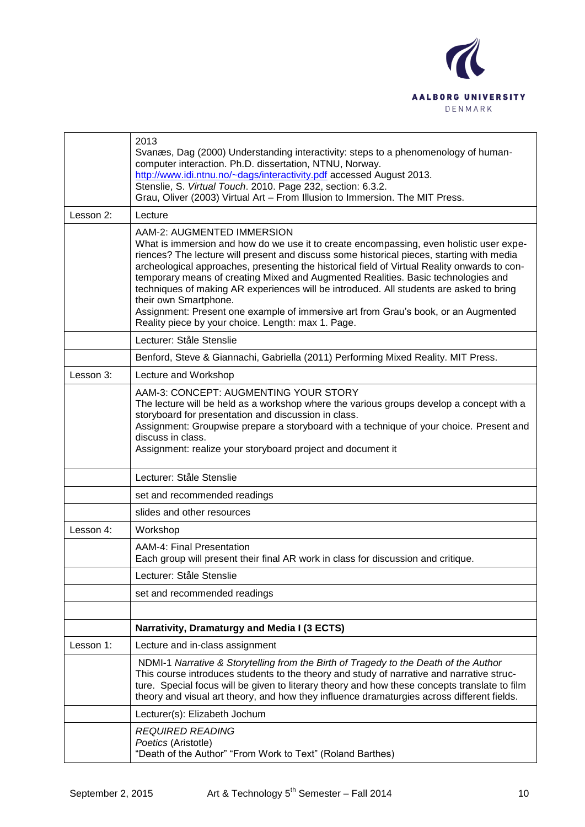

|           | 2013<br>Svanæs, Dag (2000) Understanding interactivity: steps to a phenomenology of human-<br>computer interaction. Ph.D. dissertation, NTNU, Norway.<br>http://www.idi.ntnu.no/~dags/interactivity.pdf accessed August 2013.<br>Stenslie, S. Virtual Touch. 2010. Page 232, section: 6.3.2.<br>Grau, Oliver (2003) Virtual Art - From Illusion to Immersion. The MIT Press.                                                                                                                                                                                                                                                                                            |
|-----------|-------------------------------------------------------------------------------------------------------------------------------------------------------------------------------------------------------------------------------------------------------------------------------------------------------------------------------------------------------------------------------------------------------------------------------------------------------------------------------------------------------------------------------------------------------------------------------------------------------------------------------------------------------------------------|
| Lesson 2: | Lecture                                                                                                                                                                                                                                                                                                                                                                                                                                                                                                                                                                                                                                                                 |
|           | AAM-2: AUGMENTED IMMERSION<br>What is immersion and how do we use it to create encompassing, even holistic user expe-<br>riences? The lecture will present and discuss some historical pieces, starting with media<br>archeological approaches, presenting the historical field of Virtual Reality onwards to con-<br>temporary means of creating Mixed and Augmented Realities. Basic technologies and<br>techniques of making AR experiences will be introduced. All students are asked to bring<br>their own Smartphone.<br>Assignment: Present one example of immersive art from Grau's book, or an Augmented<br>Reality piece by your choice. Length: max 1. Page. |
|           | Lecturer: Ståle Stenslie                                                                                                                                                                                                                                                                                                                                                                                                                                                                                                                                                                                                                                                |
|           | Benford, Steve & Giannachi, Gabriella (2011) Performing Mixed Reality. MIT Press.                                                                                                                                                                                                                                                                                                                                                                                                                                                                                                                                                                                       |
| Lesson 3: | Lecture and Workshop                                                                                                                                                                                                                                                                                                                                                                                                                                                                                                                                                                                                                                                    |
|           | AAM-3: CONCEPT: AUGMENTING YOUR STORY<br>The lecture will be held as a workshop where the various groups develop a concept with a<br>storyboard for presentation and discussion in class.<br>Assignment: Groupwise prepare a storyboard with a technique of your choice. Present and<br>discuss in class.<br>Assignment: realize your storyboard project and document it                                                                                                                                                                                                                                                                                                |
|           | Lecturer: Ståle Stenslie                                                                                                                                                                                                                                                                                                                                                                                                                                                                                                                                                                                                                                                |
|           | set and recommended readings                                                                                                                                                                                                                                                                                                                                                                                                                                                                                                                                                                                                                                            |
|           | slides and other resources                                                                                                                                                                                                                                                                                                                                                                                                                                                                                                                                                                                                                                              |
| Lesson 4: | Workshop                                                                                                                                                                                                                                                                                                                                                                                                                                                                                                                                                                                                                                                                |
|           | AAM-4: Final Presentation<br>Each group will present their final AR work in class for discussion and critique.                                                                                                                                                                                                                                                                                                                                                                                                                                                                                                                                                          |
|           | Lecturer: Ståle Stenslie                                                                                                                                                                                                                                                                                                                                                                                                                                                                                                                                                                                                                                                |
|           | set and recommended readings                                                                                                                                                                                                                                                                                                                                                                                                                                                                                                                                                                                                                                            |
|           |                                                                                                                                                                                                                                                                                                                                                                                                                                                                                                                                                                                                                                                                         |
|           | Narrativity, Dramaturgy and Media I (3 ECTS)                                                                                                                                                                                                                                                                                                                                                                                                                                                                                                                                                                                                                            |
| Lesson 1: | Lecture and in-class assignment                                                                                                                                                                                                                                                                                                                                                                                                                                                                                                                                                                                                                                         |
|           | NDMI-1 Narrative & Storytelling from the Birth of Tragedy to the Death of the Author<br>This course introduces students to the theory and study of narrative and narrative struc-<br>ture. Special focus will be given to literary theory and how these concepts translate to film<br>theory and visual art theory, and how they influence dramaturgies across different fields.                                                                                                                                                                                                                                                                                        |
|           | Lecturer(s): Elizabeth Jochum                                                                                                                                                                                                                                                                                                                                                                                                                                                                                                                                                                                                                                           |
|           | <b>REQUIRED READING</b><br>Poetics (Aristotle)<br>"Death of the Author" "From Work to Text" (Roland Barthes)                                                                                                                                                                                                                                                                                                                                                                                                                                                                                                                                                            |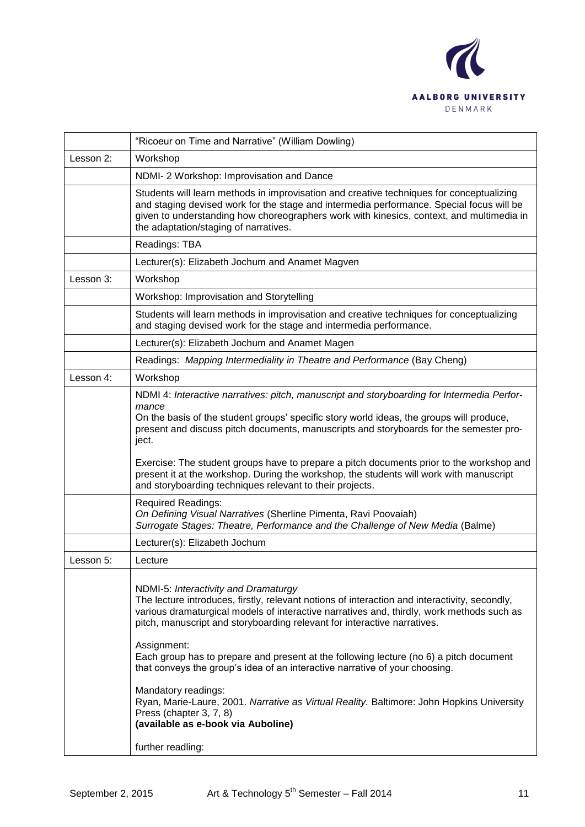

|           | "Ricoeur on Time and Narrative" (William Dowling)                                                                                                                                                                                                                                                                                                                                                                       |
|-----------|-------------------------------------------------------------------------------------------------------------------------------------------------------------------------------------------------------------------------------------------------------------------------------------------------------------------------------------------------------------------------------------------------------------------------|
| Lesson 2: | Workshop                                                                                                                                                                                                                                                                                                                                                                                                                |
|           | NDMI-2 Workshop: Improvisation and Dance                                                                                                                                                                                                                                                                                                                                                                                |
|           | Students will learn methods in improvisation and creative techniques for conceptualizing<br>and staging devised work for the stage and intermedia performance. Special focus will be<br>given to understanding how choreographers work with kinesics, context, and multimedia in<br>the adaptation/staging of narratives.                                                                                               |
|           | Readings: TBA                                                                                                                                                                                                                                                                                                                                                                                                           |
|           | Lecturer(s): Elizabeth Jochum and Anamet Magven                                                                                                                                                                                                                                                                                                                                                                         |
| Lesson 3: | Workshop                                                                                                                                                                                                                                                                                                                                                                                                                |
|           | Workshop: Improvisation and Storytelling                                                                                                                                                                                                                                                                                                                                                                                |
|           | Students will learn methods in improvisation and creative techniques for conceptualizing<br>and staging devised work for the stage and intermedia performance.                                                                                                                                                                                                                                                          |
|           | Lecturer(s): Elizabeth Jochum and Anamet Magen                                                                                                                                                                                                                                                                                                                                                                          |
|           | Readings: Mapping Intermediality in Theatre and Performance (Bay Cheng)                                                                                                                                                                                                                                                                                                                                                 |
| Lesson 4: | Workshop                                                                                                                                                                                                                                                                                                                                                                                                                |
|           | NDMI 4: Interactive narratives: pitch, manuscript and storyboarding for Intermedia Perfor-<br>mance<br>On the basis of the student groups' specific story world ideas, the groups will produce,<br>present and discuss pitch documents, manuscripts and storyboards for the semester pro-<br>ject.                                                                                                                      |
|           | Exercise: The student groups have to prepare a pitch documents prior to the workshop and<br>present it at the workshop. During the workshop, the students will work with manuscript<br>and storyboarding techniques relevant to their projects.                                                                                                                                                                         |
|           | <b>Required Readings:</b><br>On Defining Visual Narratives (Sherline Pimenta, Ravi Poovaiah)<br>Surrogate Stages: Theatre, Performance and the Challenge of New Media (Balme)                                                                                                                                                                                                                                           |
|           | Lecturer(s): Elizabeth Jochum                                                                                                                                                                                                                                                                                                                                                                                           |
| Lesson 5: | Lecture                                                                                                                                                                                                                                                                                                                                                                                                                 |
|           | NDMI-5: Interactivity and Dramaturgy<br>The lecture introduces, firstly, relevant notions of interaction and interactivity, secondly,<br>various dramaturgical models of interactive narratives and, thirdly, work methods such as<br>pitch, manuscript and storyboarding relevant for interactive narratives.<br>Assignment:<br>Each group has to prepare and present at the following lecture (no 6) a pitch document |
|           | that conveys the group's idea of an interactive narrative of your choosing.<br>Mandatory readings:<br>Ryan, Marie-Laure, 2001. Narrative as Virtual Reality. Baltimore: John Hopkins University<br>Press (chapter 3, 7, 8)<br>(available as e-book via Auboline)                                                                                                                                                        |
|           | further readling:                                                                                                                                                                                                                                                                                                                                                                                                       |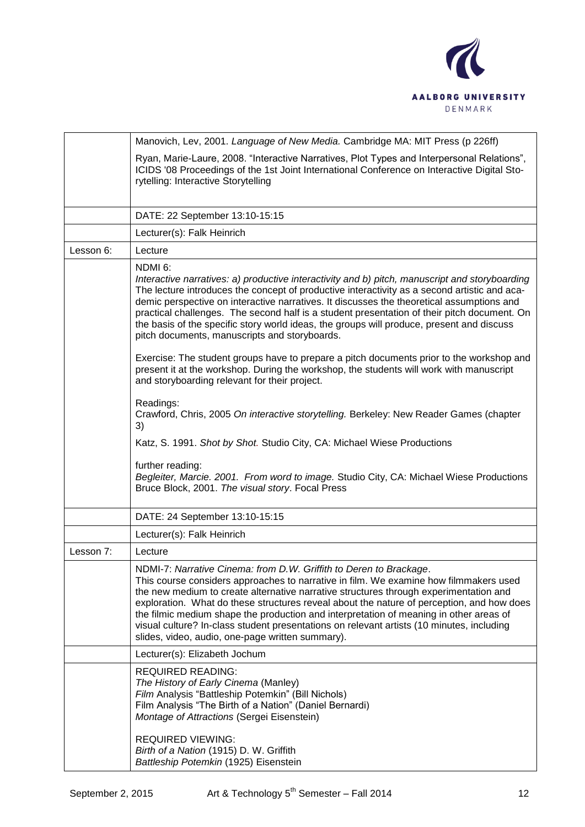

|           | Manovich, Lev, 2001. Language of New Media. Cambridge MA: MIT Press (p 226ff)                                                                                                                                                                                                                                                                                                                                                                                                                                                                                                                                                                                                                                                                                                                                                                                                                                                                                                                                                                                                                                  |
|-----------|----------------------------------------------------------------------------------------------------------------------------------------------------------------------------------------------------------------------------------------------------------------------------------------------------------------------------------------------------------------------------------------------------------------------------------------------------------------------------------------------------------------------------------------------------------------------------------------------------------------------------------------------------------------------------------------------------------------------------------------------------------------------------------------------------------------------------------------------------------------------------------------------------------------------------------------------------------------------------------------------------------------------------------------------------------------------------------------------------------------|
|           | Ryan, Marie-Laure, 2008. "Interactive Narratives, Plot Types and Interpersonal Relations",<br>ICIDS '08 Proceedings of the 1st Joint International Conference on Interactive Digital Sto-<br>rytelling: Interactive Storytelling                                                                                                                                                                                                                                                                                                                                                                                                                                                                                                                                                                                                                                                                                                                                                                                                                                                                               |
|           | DATE: 22 September 13:10-15:15                                                                                                                                                                                                                                                                                                                                                                                                                                                                                                                                                                                                                                                                                                                                                                                                                                                                                                                                                                                                                                                                                 |
|           | Lecturer(s): Falk Heinrich                                                                                                                                                                                                                                                                                                                                                                                                                                                                                                                                                                                                                                                                                                                                                                                                                                                                                                                                                                                                                                                                                     |
| Lesson 6: | Lecture                                                                                                                                                                                                                                                                                                                                                                                                                                                                                                                                                                                                                                                                                                                                                                                                                                                                                                                                                                                                                                                                                                        |
|           | NDMI <sub>6</sub> :<br>Interactive narratives: a) productive interactivity and b) pitch, manuscript and storyboarding<br>The lecture introduces the concept of productive interactivity as a second artistic and aca-<br>demic perspective on interactive narratives. It discusses the theoretical assumptions and<br>practical challenges. The second half is a student presentation of their pitch document. On<br>the basis of the specific story world ideas, the groups will produce, present and discuss<br>pitch documents, manuscripts and storyboards.<br>Exercise: The student groups have to prepare a pitch documents prior to the workshop and<br>present it at the workshop. During the workshop, the students will work with manuscript<br>and storyboarding relevant for their project.<br>Readings:<br>Crawford, Chris, 2005 On interactive storytelling. Berkeley: New Reader Games (chapter<br>3)<br>Katz, S. 1991. Shot by Shot. Studio City, CA: Michael Wiese Productions<br>further reading:<br>Begleiter, Marcie. 2001. From word to image. Studio City, CA: Michael Wiese Productions |
|           | Bruce Block, 2001. The visual story. Focal Press                                                                                                                                                                                                                                                                                                                                                                                                                                                                                                                                                                                                                                                                                                                                                                                                                                                                                                                                                                                                                                                               |
|           | DATE: 24 September 13:10-15:15                                                                                                                                                                                                                                                                                                                                                                                                                                                                                                                                                                                                                                                                                                                                                                                                                                                                                                                                                                                                                                                                                 |
|           | Lecturer(s): Falk Heinrich                                                                                                                                                                                                                                                                                                                                                                                                                                                                                                                                                                                                                                                                                                                                                                                                                                                                                                                                                                                                                                                                                     |
| Lesson 7: | Lecture                                                                                                                                                                                                                                                                                                                                                                                                                                                                                                                                                                                                                                                                                                                                                                                                                                                                                                                                                                                                                                                                                                        |
|           | NDMI-7: Narrative Cinema: from D.W. Griffith to Deren to Brackage.<br>This course considers approaches to narrative in film. We examine how filmmakers used<br>the new medium to create alternative narrative structures through experimentation and<br>exploration. What do these structures reveal about the nature of perception, and how does<br>the filmic medium shape the production and interpretation of meaning in other areas of<br>visual culture? In-class student presentations on relevant artists (10 minutes, including<br>slides, video, audio, one-page written summary).                                                                                                                                                                                                                                                                                                                                                                                                                                                                                                                   |
|           | Lecturer(s): Elizabeth Jochum                                                                                                                                                                                                                                                                                                                                                                                                                                                                                                                                                                                                                                                                                                                                                                                                                                                                                                                                                                                                                                                                                  |
|           | <b>REQUIRED READING:</b><br>The History of Early Cinema (Manley)<br>Film Analysis "Battleship Potemkin" (Bill Nichols)<br>Film Analysis "The Birth of a Nation" (Daniel Bernardi)<br>Montage of Attractions (Sergei Eisenstein)                                                                                                                                                                                                                                                                                                                                                                                                                                                                                                                                                                                                                                                                                                                                                                                                                                                                                |
|           | <b>REQUIRED VIEWING:</b><br>Birth of a Nation (1915) D. W. Griffith<br>Battleship Potemkin (1925) Eisenstein                                                                                                                                                                                                                                                                                                                                                                                                                                                                                                                                                                                                                                                                                                                                                                                                                                                                                                                                                                                                   |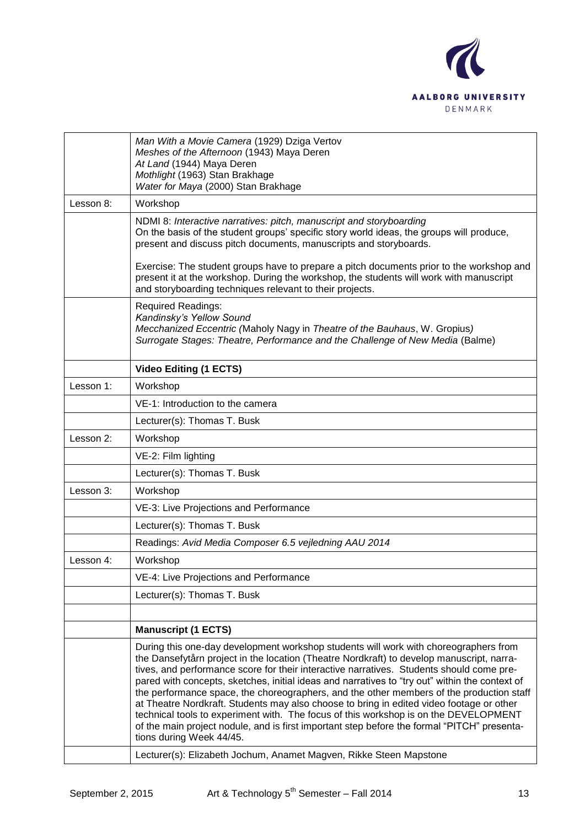

|           | Man With a Movie Camera (1929) Dziga Vertov<br>Meshes of the Afternoon (1943) Maya Deren<br>At Land (1944) Maya Deren<br>Mothlight (1963) Stan Brakhage<br>Water for Maya (2000) Stan Brakhage                                                                                                                                                                                                                                                                                                                                                                                                                                                                                                                                                                                             |
|-----------|--------------------------------------------------------------------------------------------------------------------------------------------------------------------------------------------------------------------------------------------------------------------------------------------------------------------------------------------------------------------------------------------------------------------------------------------------------------------------------------------------------------------------------------------------------------------------------------------------------------------------------------------------------------------------------------------------------------------------------------------------------------------------------------------|
| Lesson 8: | Workshop                                                                                                                                                                                                                                                                                                                                                                                                                                                                                                                                                                                                                                                                                                                                                                                   |
|           | NDMI 8: Interactive narratives: pitch, manuscript and storyboarding<br>On the basis of the student groups' specific story world ideas, the groups will produce,<br>present and discuss pitch documents, manuscripts and storyboards.                                                                                                                                                                                                                                                                                                                                                                                                                                                                                                                                                       |
|           | Exercise: The student groups have to prepare a pitch documents prior to the workshop and<br>present it at the workshop. During the workshop, the students will work with manuscript<br>and storyboarding techniques relevant to their projects.                                                                                                                                                                                                                                                                                                                                                                                                                                                                                                                                            |
|           | <b>Required Readings:</b><br>Kandinsky's Yellow Sound<br>Mecchanized Eccentric (Maholy Nagy in Theatre of the Bauhaus, W. Gropius)<br>Surrogate Stages: Theatre, Performance and the Challenge of New Media (Balme)                                                                                                                                                                                                                                                                                                                                                                                                                                                                                                                                                                        |
|           | Video Editing (1 ECTS)                                                                                                                                                                                                                                                                                                                                                                                                                                                                                                                                                                                                                                                                                                                                                                     |
| Lesson 1: | Workshop                                                                                                                                                                                                                                                                                                                                                                                                                                                                                                                                                                                                                                                                                                                                                                                   |
|           | VE-1: Introduction to the camera                                                                                                                                                                                                                                                                                                                                                                                                                                                                                                                                                                                                                                                                                                                                                           |
|           | Lecturer(s): Thomas T. Busk                                                                                                                                                                                                                                                                                                                                                                                                                                                                                                                                                                                                                                                                                                                                                                |
| Lesson 2: | Workshop                                                                                                                                                                                                                                                                                                                                                                                                                                                                                                                                                                                                                                                                                                                                                                                   |
|           | VE-2: Film lighting                                                                                                                                                                                                                                                                                                                                                                                                                                                                                                                                                                                                                                                                                                                                                                        |
|           | Lecturer(s): Thomas T. Busk                                                                                                                                                                                                                                                                                                                                                                                                                                                                                                                                                                                                                                                                                                                                                                |
| Lesson 3: | Workshop                                                                                                                                                                                                                                                                                                                                                                                                                                                                                                                                                                                                                                                                                                                                                                                   |
|           | VE-3: Live Projections and Performance                                                                                                                                                                                                                                                                                                                                                                                                                                                                                                                                                                                                                                                                                                                                                     |
|           | Lecturer(s): Thomas T. Busk                                                                                                                                                                                                                                                                                                                                                                                                                                                                                                                                                                                                                                                                                                                                                                |
|           | Readings: Avid Media Composer 6.5 vejledning AAU 2014                                                                                                                                                                                                                                                                                                                                                                                                                                                                                                                                                                                                                                                                                                                                      |
| Lesson 4: | Workshop                                                                                                                                                                                                                                                                                                                                                                                                                                                                                                                                                                                                                                                                                                                                                                                   |
|           | VE-4: Live Projections and Performance                                                                                                                                                                                                                                                                                                                                                                                                                                                                                                                                                                                                                                                                                                                                                     |
|           | Lecturer(s): Thomas T. Busk                                                                                                                                                                                                                                                                                                                                                                                                                                                                                                                                                                                                                                                                                                                                                                |
|           |                                                                                                                                                                                                                                                                                                                                                                                                                                                                                                                                                                                                                                                                                                                                                                                            |
|           | <b>Manuscript (1 ECTS)</b>                                                                                                                                                                                                                                                                                                                                                                                                                                                                                                                                                                                                                                                                                                                                                                 |
|           | During this one-day development workshop students will work with choreographers from<br>the Dansefytårn project in the location (Theatre Nordkraft) to develop manuscript, narra-<br>tives, and performance score for their interactive narratives. Students should come pre-<br>pared with concepts, sketches, initial ideas and narratives to "try out" within the context of<br>the performance space, the choreographers, and the other members of the production staff<br>at Theatre Nordkraft. Students may also choose to bring in edited video footage or other<br>technical tools to experiment with. The focus of this workshop is on the DEVELOPMENT<br>of the main project nodule, and is first important step before the formal "PITCH" presenta-<br>tions during Week 44/45. |
|           | Lecturer(s): Elizabeth Jochum, Anamet Magven, Rikke Steen Mapstone                                                                                                                                                                                                                                                                                                                                                                                                                                                                                                                                                                                                                                                                                                                         |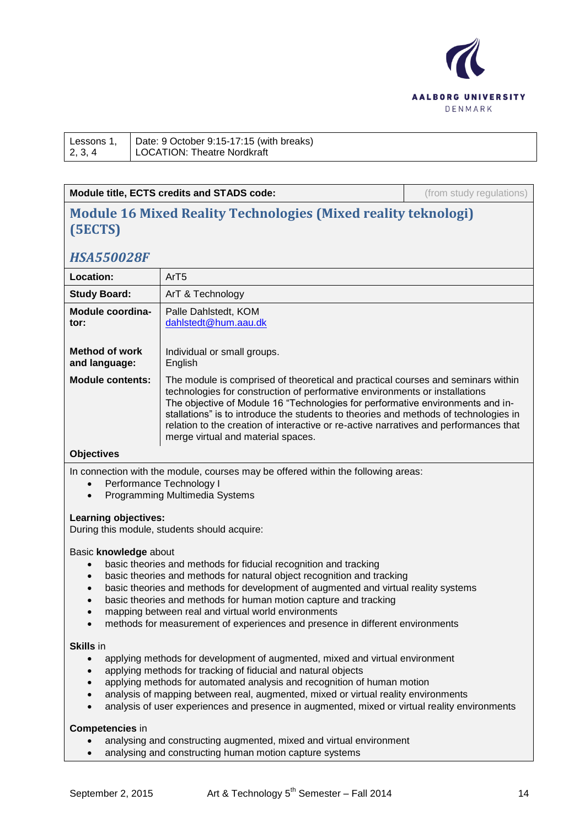

| Lessons 1, |  |
|------------|--|
| 2, 3, 4    |  |

Date: 9 October 9:15-17:15 (with breaks) LOCATION: Theatre Nordkraft

## **Module title, ECTS credits and STADS code:** (from study regulations)

# **Module 16 Mixed Reality Technologies (Mixed reality teknologi) (5ECTS)**

# *HSA550028F*

| Location:                              | ArT5                                                                                                                                                                                                                                                                                                                                                                                                                                                                     |
|----------------------------------------|--------------------------------------------------------------------------------------------------------------------------------------------------------------------------------------------------------------------------------------------------------------------------------------------------------------------------------------------------------------------------------------------------------------------------------------------------------------------------|
| <b>Study Board:</b>                    | ArT & Technology                                                                                                                                                                                                                                                                                                                                                                                                                                                         |
| Module coordina-<br>tor:               | Palle Dahlstedt, KOM<br>dahlstedt@hum.aau.dk                                                                                                                                                                                                                                                                                                                                                                                                                             |
| <b>Method of work</b><br>and language: | Individual or small groups.<br>English                                                                                                                                                                                                                                                                                                                                                                                                                                   |
| <b>Module contents:</b>                | The module is comprised of theoretical and practical courses and seminars within<br>technologies for construction of performative environments or installations<br>The objective of Module 16 "Technologies for performative environments and in-<br>stallations" is to introduce the students to theories and methods of technologies in<br>relation to the creation of interactive or re-active narratives and performances that<br>merge virtual and material spaces. |

## **Objectives**

In connection with the module, courses may be offered within the following areas:

- Performance Technology I
- Programming Multimedia Systems

### **Learning objectives:**

During this module, students should acquire:

### Basic **knowledge** about

- basic theories and methods for fiducial recognition and tracking
- basic theories and methods for natural object recognition and tracking
- basic theories and methods for development of augmented and virtual reality systems
- basic theories and methods for human motion capture and tracking
- mapping between real and virtual world environments
- methods for measurement of experiences and presence in different environments

#### **Skills** in

- applying methods for development of augmented, mixed and virtual environment
- applying methods for tracking of fiducial and natural objects
- applying methods for automated analysis and recognition of human motion
- analysis of mapping between real, augmented, mixed or virtual reality environments
- analysis of user experiences and presence in augmented, mixed or virtual reality environments

### **Competencies** in

- analysing and constructing augmented, mixed and virtual environment
- analysing and constructing human motion capture systems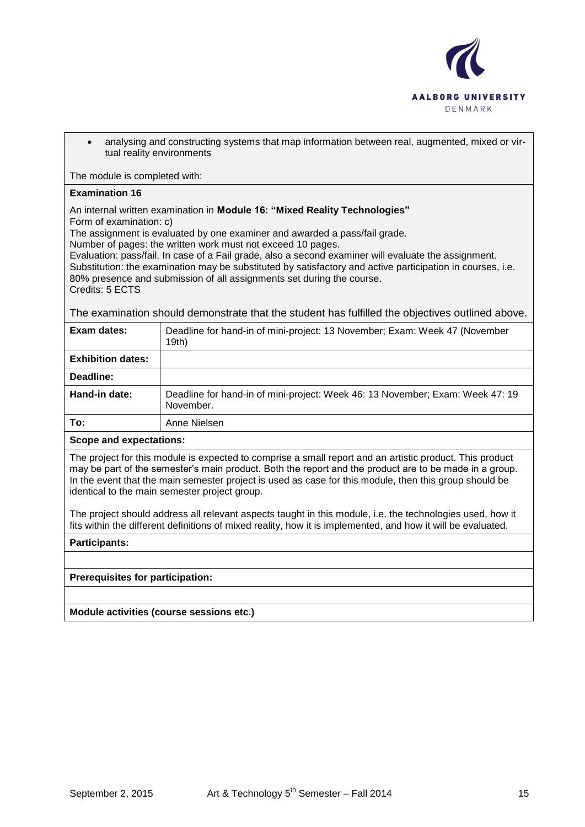

 analysing and constructing systems that map information between real, augmented, mixed or virtual reality environments

The module is completed with:

### **Examination 16**

An internal written examination in **Module 16: "Mixed Reality Technologies"**

Form of examination: c)

The assignment is evaluated by one examiner and awarded a pass/fail grade.

Number of pages: the written work must not exceed 10 pages.

Evaluation: pass/fail. In case of a Fail grade, also a second examiner will evaluate the assignment. Substitution: the examination may be substituted by satisfactory and active participation in courses, i.e. 80% presence and submission of all assignments set during the course. Credits: 5 ECTS

The examination should demonstrate that the student has fulfilled the objectives outlined above.

| Exam dates:              | Deadline for hand-in of mini-project: 13 November; Exam: Week 47 (November<br>19th)        |
|--------------------------|--------------------------------------------------------------------------------------------|
| <b>Exhibition dates:</b> |                                                                                            |
| Deadline:                |                                                                                            |
| Hand-in date:            | Deadline for hand-in of mini-project: Week 46: 13 November; Exam: Week 47: 19<br>November. |
| To:                      | Anne Nielsen                                                                               |

### **Scope and expectations:**

The project for this module is expected to comprise a small report and an artistic product. This product may be part of the semester's main product. Both the report and the product are to be made in a group. In the event that the main semester project is used as case for this module, then this group should be identical to the main semester project group.

The project should address all relevant aspects taught in this module, i.e. the technologies used, how it fits within the different definitions of mixed reality, how it is implemented, and how it will be evaluated.

### **Participants:**

**Prerequisites for participation:**

**Module activities (course sessions etc.)**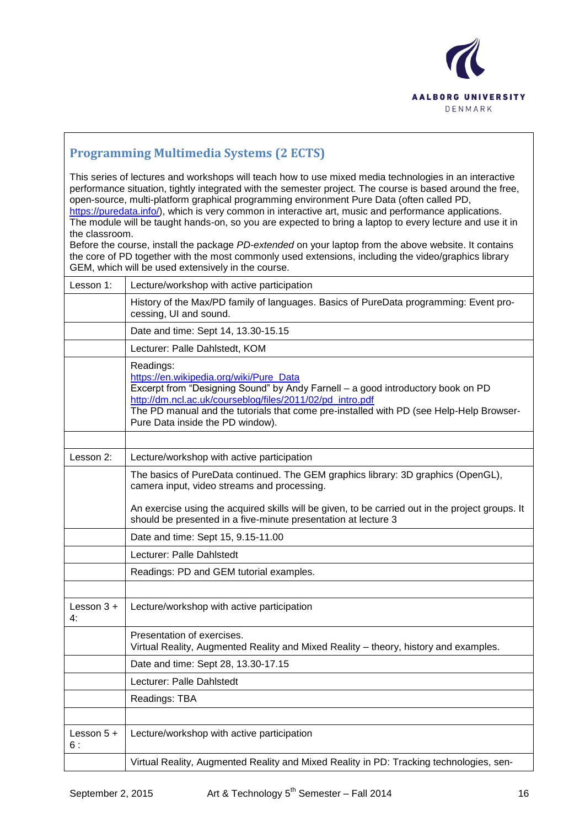

# **Programming Multimedia Systems (2 ECTS)**

This series of lectures and workshops will teach how to use mixed media technologies in an interactive performance situation, tightly integrated with the semester project. The course is based around the free, open-source, multi-platform graphical programming environment Pure Data (often called PD, [https://puredata.info/\)](https://puredata.info/), which is very common in interactive art, music and performance applications.

The module will be taught hands-on, so you are expected to bring a laptop to every lecture and use it in the classroom.

Before the course, install the package *PD-extended* on your laptop from the above website. It contains the core of PD together with the most commonly used extensions, including the video/graphics library GEM, which will be used extensively in the course.

| Lesson 1:           | Lecture/workshop with active participation                                                                                                                                                                                                                                                                                          |
|---------------------|-------------------------------------------------------------------------------------------------------------------------------------------------------------------------------------------------------------------------------------------------------------------------------------------------------------------------------------|
|                     | History of the Max/PD family of languages. Basics of PureData programming: Event pro-<br>cessing, UI and sound.                                                                                                                                                                                                                     |
|                     | Date and time: Sept 14, 13.30-15.15                                                                                                                                                                                                                                                                                                 |
|                     | Lecturer: Palle Dahlstedt, KOM                                                                                                                                                                                                                                                                                                      |
|                     | Readings:<br>https://en.wikipedia.org/wiki/Pure_Data<br>Excerpt from "Designing Sound" by Andy Farnell - a good introductory book on PD<br>http://dm.ncl.ac.uk/courseblog/files/2011/02/pd_intro.pdf<br>The PD manual and the tutorials that come pre-installed with PD (see Help-Help Browser-<br>Pure Data inside the PD window). |
|                     |                                                                                                                                                                                                                                                                                                                                     |
| Lesson 2:           | Lecture/workshop with active participation                                                                                                                                                                                                                                                                                          |
|                     | The basics of PureData continued. The GEM graphics library: 3D graphics (OpenGL),<br>camera input, video streams and processing.                                                                                                                                                                                                    |
|                     | An exercise using the acquired skills will be given, to be carried out in the project groups. It<br>should be presented in a five-minute presentation at lecture 3                                                                                                                                                                  |
|                     | Date and time: Sept 15, 9.15-11.00                                                                                                                                                                                                                                                                                                  |
|                     | Lecturer: Palle Dahlstedt                                                                                                                                                                                                                                                                                                           |
|                     | Readings: PD and GEM tutorial examples.                                                                                                                                                                                                                                                                                             |
|                     |                                                                                                                                                                                                                                                                                                                                     |
| Lesson $3 +$<br>4:  | Lecture/workshop with active participation                                                                                                                                                                                                                                                                                          |
|                     | Presentation of exercises.<br>Virtual Reality, Augmented Reality and Mixed Reality - theory, history and examples.                                                                                                                                                                                                                  |
|                     | Date and time: Sept 28, 13.30-17.15                                                                                                                                                                                                                                                                                                 |
|                     | Lecturer: Palle Dahlstedt                                                                                                                                                                                                                                                                                                           |
|                     | Readings: TBA                                                                                                                                                                                                                                                                                                                       |
|                     |                                                                                                                                                                                                                                                                                                                                     |
| Lesson $5 +$<br>6 : | Lecture/workshop with active participation                                                                                                                                                                                                                                                                                          |
|                     | Virtual Reality, Augmented Reality and Mixed Reality in PD: Tracking technologies, sen-                                                                                                                                                                                                                                             |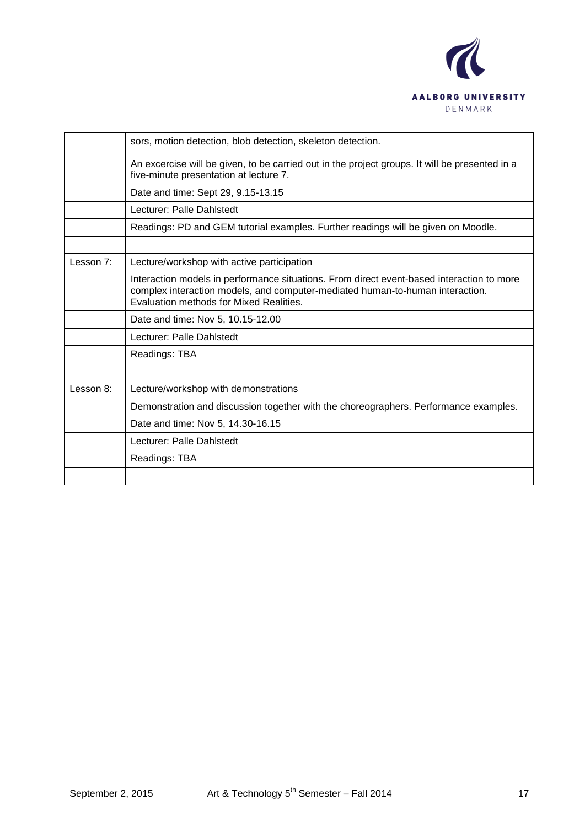

|           | sors, motion detection, blob detection, skeleton detection.                                                                                                                                                           |
|-----------|-----------------------------------------------------------------------------------------------------------------------------------------------------------------------------------------------------------------------|
|           | An excercise will be given, to be carried out in the project groups. It will be presented in a<br>five-minute presentation at lecture 7.                                                                              |
|           | Date and time: Sept 29, 9.15-13.15                                                                                                                                                                                    |
|           | Lecturer: Palle Dahlstedt                                                                                                                                                                                             |
|           | Readings: PD and GEM tutorial examples. Further readings will be given on Moodle.                                                                                                                                     |
|           |                                                                                                                                                                                                                       |
| Lesson 7: | Lecture/workshop with active participation                                                                                                                                                                            |
|           | Interaction models in performance situations. From direct event-based interaction to more<br>complex interaction models, and computer-mediated human-to-human interaction.<br>Evaluation methods for Mixed Realities. |
|           | Date and time: Nov 5, 10.15-12.00                                                                                                                                                                                     |
|           | Lecturer: Palle Dahlstedt                                                                                                                                                                                             |
|           | Readings: TBA                                                                                                                                                                                                         |
|           |                                                                                                                                                                                                                       |
| Lesson 8: | Lecture/workshop with demonstrations                                                                                                                                                                                  |
|           | Demonstration and discussion together with the choreographers. Performance examples.                                                                                                                                  |
|           | Date and time: Nov 5, 14.30-16.15                                                                                                                                                                                     |
|           | Lecturer: Palle Dahlstedt                                                                                                                                                                                             |
|           | Readings: TBA                                                                                                                                                                                                         |
|           |                                                                                                                                                                                                                       |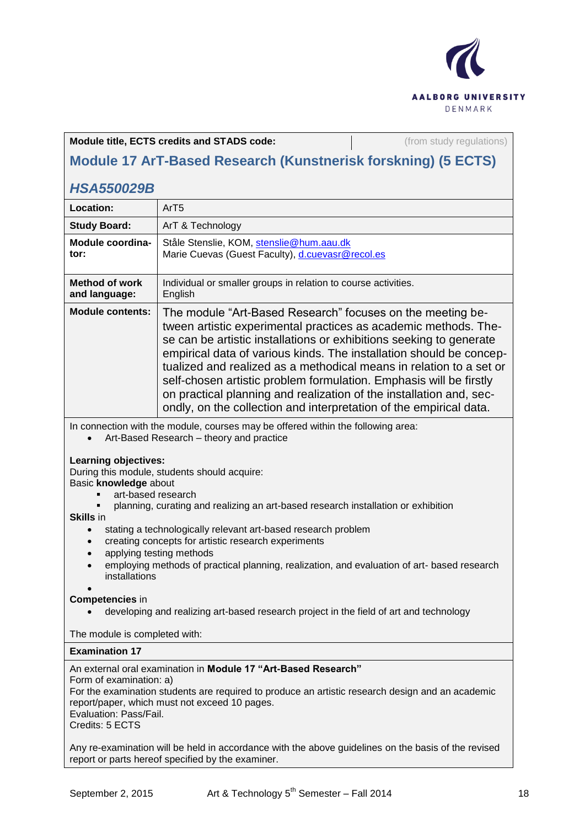

| MOUDE TT AT POSSU RESEARCH (RUISURISK FORMING) (3 EUTS) |                                                                                                                                                                                                                                                                                                                                                                                                                                                                                                                                                                       |
|---------------------------------------------------------|-----------------------------------------------------------------------------------------------------------------------------------------------------------------------------------------------------------------------------------------------------------------------------------------------------------------------------------------------------------------------------------------------------------------------------------------------------------------------------------------------------------------------------------------------------------------------|
| <b>HSA550029B</b>                                       |                                                                                                                                                                                                                                                                                                                                                                                                                                                                                                                                                                       |
| Location:                                               | ArT5                                                                                                                                                                                                                                                                                                                                                                                                                                                                                                                                                                  |
| <b>Study Board:</b>                                     | ArT & Technology                                                                                                                                                                                                                                                                                                                                                                                                                                                                                                                                                      |
| Module coordina-<br>tor:                                | Ståle Stenslie, KOM, stenslie@hum.aau.dk<br>Marie Cuevas (Guest Faculty), d.cuevasr@recol.es                                                                                                                                                                                                                                                                                                                                                                                                                                                                          |
| <b>Method of work</b><br>and language:                  | Individual or smaller groups in relation to course activities.<br>English                                                                                                                                                                                                                                                                                                                                                                                                                                                                                             |
| <b>Module contents:</b>                                 | The module "Art-Based Research" focuses on the meeting be-<br>tween artistic experimental practices as academic methods. The-<br>se can be artistic installations or exhibitions seeking to generate<br>empirical data of various kinds. The installation should be concep-<br>tualized and realized as a methodical means in relation to a set or<br>self-chosen artistic problem formulation. Emphasis will be firstly<br>on practical planning and realization of the installation and, sec-<br>ondly, on the collection and interpretation of the empirical data. |

**Module title, ECTS credits and STADS code: and in the study regulations**) **Module 17 ArT-Based Research (Kunstnerisk forskning) (5 ECTS)**

In connection with the module, courses may be offered within the following area:

Art-Based Research – theory and practice

### **Learning objectives:**

During this module, students should acquire:

Basic **knowledge** about

- **art-based research**
- planning, curating and realizing an art-based research installation or exhibition

**Skills** in

- **•** stating a technologically relevant art-based research problem
- creating concepts for artistic research experiments
- applying testing methods
- employing methods of practical planning, realization, and evaluation of art- based research installations

#### $\bullet$ **Competencies** in

developing and realizing art-based research project in the field of art and technology

The module is completed with:

### **Examination 17**

#### An external oral examination in **Module 17 "Art-Based Research"** Form of examination: a) For the examination students are required to produce an artistic research design and an academic report/paper, which must not exceed 10 pages. Evaluation: Pass/Fail. Credits: 5 ECTS

Any re-examination will be held in accordance with the above guidelines on the basis of the revised report or parts hereof specified by the examiner.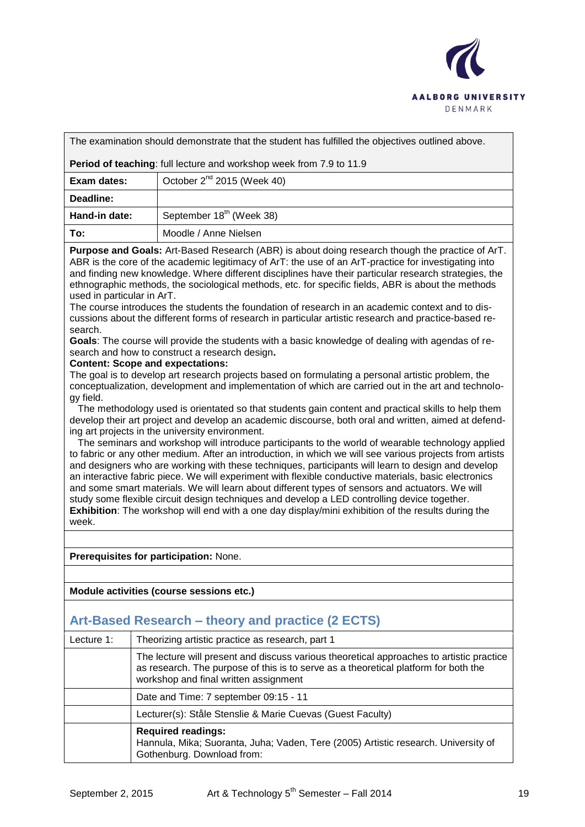

The examination should demonstrate that the student has fulfilled the objectives outlined above.

**Period of teaching**: full lecture and workshop week from 7.9 to 11.9

| Exam dates:   | October $2^{nd}$ 2015 (Week 40)      |
|---------------|--------------------------------------|
| Deadline:     |                                      |
| Hand-in date: | September 18 <sup>th</sup> (Week 38) |
| To:           | Moodle / Anne Nielsen                |

**Purpose and Goals:** Art-Based Research (ABR) is about doing research though the practice of ArT. ABR is the core of the academic legitimacy of ArT: the use of an ArT-practice for investigating into and finding new knowledge. Where different disciplines have their particular research strategies, the ethnographic methods, the sociological methods, etc. for specific fields, ABR is about the methods used in particular in ArT.

The course introduces the students the foundation of research in an academic context and to discussions about the different forms of research in particular artistic research and practice-based research.

**Goals**: The course will provide the students with a basic knowledge of dealing with agendas of research and how to construct a research design**.**

#### **Content: Scope and expectations:**

The goal is to develop art research projects based on formulating a personal artistic problem, the conceptualization, development and implementation of which are carried out in the art and technology field.

 The methodology used is orientated so that students gain content and practical skills to help them develop their art project and develop an academic discourse, both oral and written, aimed at defending art projects in the university environment.

 The seminars and workshop will introduce participants to the world of wearable technology applied to fabric or any other medium. After an introduction, in which we will see various projects from artists and designers who are working with these techniques, participants will learn to design and develop an interactive fabric piece. We will experiment with flexible conductive materials, basic electronics and some smart materials. We will learn about different types of sensors and actuators. We will study some flexible circuit design techniques and develop a LED controlling device together. **Exhibition**: The workshop will end with a one day display/mini exhibition of the results during the week.

**Prerequisites for participation:** None.

**Module activities (course sessions etc.)**

# **Art-Based Research – theory and practice (2 ECTS)**

| Lecture 1: | Theorizing artistic practice as research, part 1                                                                                                                                                                         |
|------------|--------------------------------------------------------------------------------------------------------------------------------------------------------------------------------------------------------------------------|
|            | The lecture will present and discuss various theoretical approaches to artistic practice<br>as research. The purpose of this is to serve as a theoretical platform for both the<br>workshop and final written assignment |
|            | Date and Time: 7 september 09:15 - 11                                                                                                                                                                                    |
|            | Lecturer(s): Ståle Stenslie & Marie Cuevas (Guest Faculty)                                                                                                                                                               |
|            | <b>Required readings:</b><br>Hannula, Mika; Suoranta, Juha; Vaden, Tere (2005) Artistic research. University of<br>Gothenburg. Download from:                                                                            |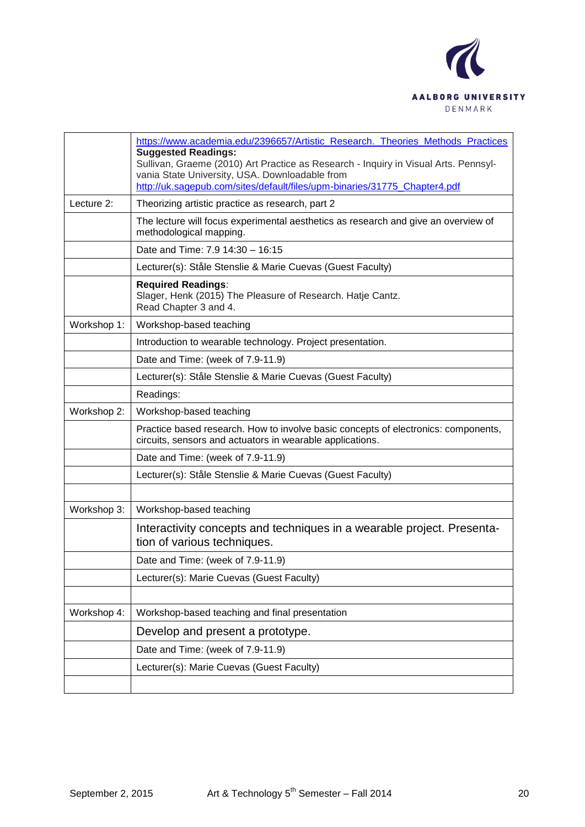

|             | https://www.academia.edu/2396657/Artistic_Research._Theories_Methods_Practices<br><b>Suggested Readings:</b><br>Sullivan, Graeme (2010) Art Practice as Research - Inquiry in Visual Arts. Pennsyl-<br>vania State University, USA. Downloadable from<br>http://uk.sagepub.com/sites/default/files/upm-binaries/31775_Chapter4.pdf |
|-------------|------------------------------------------------------------------------------------------------------------------------------------------------------------------------------------------------------------------------------------------------------------------------------------------------------------------------------------|
| Lecture 2:  | Theorizing artistic practice as research, part 2                                                                                                                                                                                                                                                                                   |
|             | The lecture will focus experimental aesthetics as research and give an overview of<br>methodological mapping.                                                                                                                                                                                                                      |
|             | Date and Time: 7.9 14:30 - 16:15                                                                                                                                                                                                                                                                                                   |
|             | Lecturer(s): Ståle Stenslie & Marie Cuevas (Guest Faculty)                                                                                                                                                                                                                                                                         |
|             | <b>Required Readings:</b><br>Slager, Henk (2015) The Pleasure of Research. Hatje Cantz.<br>Read Chapter 3 and 4.                                                                                                                                                                                                                   |
| Workshop 1: | Workshop-based teaching                                                                                                                                                                                                                                                                                                            |
|             | Introduction to wearable technology. Project presentation.                                                                                                                                                                                                                                                                         |
|             | Date and Time: (week of 7.9-11.9)                                                                                                                                                                                                                                                                                                  |
|             | Lecturer(s): Ståle Stenslie & Marie Cuevas (Guest Faculty)                                                                                                                                                                                                                                                                         |
|             | Readings:                                                                                                                                                                                                                                                                                                                          |
| Workshop 2: | Workshop-based teaching                                                                                                                                                                                                                                                                                                            |
|             | Practice based research. How to involve basic concepts of electronics: components,<br>circuits, sensors and actuators in wearable applications.                                                                                                                                                                                    |
|             | Date and Time: (week of 7.9-11.9)                                                                                                                                                                                                                                                                                                  |
|             | Lecturer(s): Ståle Stenslie & Marie Cuevas (Guest Faculty)                                                                                                                                                                                                                                                                         |
|             |                                                                                                                                                                                                                                                                                                                                    |
| Workshop 3: | Workshop-based teaching                                                                                                                                                                                                                                                                                                            |
|             | Interactivity concepts and techniques in a wearable project. Presenta-<br>tion of various techniques.                                                                                                                                                                                                                              |
|             | Date and Time: (week of 7.9-11.9)                                                                                                                                                                                                                                                                                                  |
|             | Lecturer(s): Marie Cuevas (Guest Faculty)                                                                                                                                                                                                                                                                                          |
|             |                                                                                                                                                                                                                                                                                                                                    |
| Workshop 4: | Workshop-based teaching and final presentation                                                                                                                                                                                                                                                                                     |
|             | Develop and present a prototype.                                                                                                                                                                                                                                                                                                   |
|             | Date and Time: (week of 7.9-11.9)                                                                                                                                                                                                                                                                                                  |
|             | Lecturer(s): Marie Cuevas (Guest Faculty)                                                                                                                                                                                                                                                                                          |
|             |                                                                                                                                                                                                                                                                                                                                    |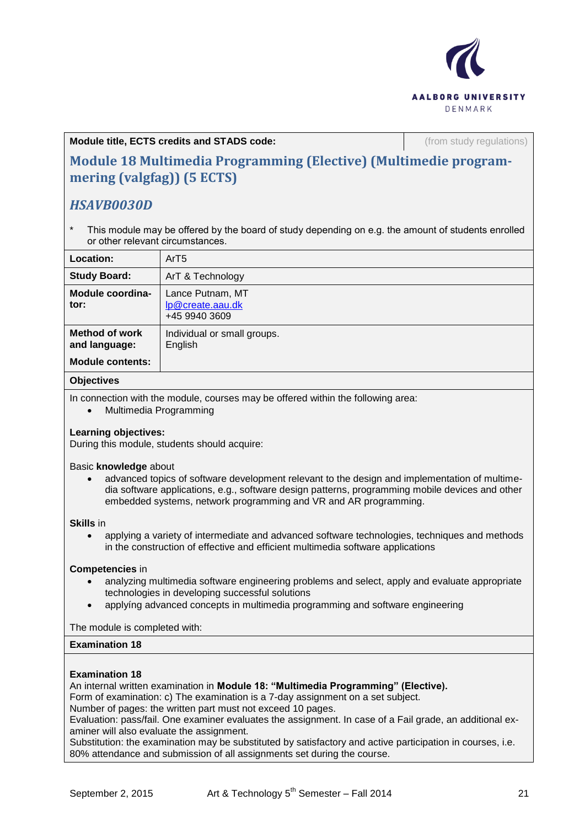

**Module title, ECTS credits and STADS code: Calculations** (from study regulations)

# **Module 18 Multimedia Programming (Elective) (Multimedie programmering (valgfag)) (5 ECTS)**

# *HSAVB0030D*

This module may be offered by the board of study depending on e.g. the amount of students enrolled or other relevant circumstances.

| Location:                              | ArT <sub>5</sub>                                      |
|----------------------------------------|-------------------------------------------------------|
| <b>Study Board:</b>                    | ArT & Technology                                      |
| Module coordina-<br>tor:               | Lance Putnam, MT<br>lp@create.aau.dk<br>+45 9940 3609 |
| <b>Method of work</b><br>and language: | Individual or small groups.<br>English                |
| <b>Module contents:</b>                |                                                       |

### **Objectives**

In connection with the module, courses may be offered within the following area:

• Multimedia Programming

## **Learning objectives:**

During this module, students should acquire:

### Basic **knowledge** about

 advanced topics of software development relevant to the design and implementation of multimedia software applications, e.g., software design patterns, programming mobile devices and other embedded systems, network programming and VR and AR programming.

### **Skills** in

 applying a variety of intermediate and advanced software technologies, techniques and methods in the construction of effective and efficient multimedia software applications

### **Competencies** in

- analyzing multimedia software engineering problems and select, apply and evaluate appropriate technologies in developing successful solutions
- applyíng advanced concepts in multimedia programming and software engineering

The module is completed with:

## **Examination 18**

### **Examination 18**

An internal written examination in **Module 18: "Multimedia Programming" (Elective).** 

Form of examination: c) The examination is a 7-day assignment on a set subject.

Number of pages: the written part must not exceed 10 pages.

Evaluation: pass/fail. One examiner evaluates the assignment. In case of a Fail grade, an additional examiner will also evaluate the assignment.

Substitution: the examination may be substituted by satisfactory and active participation in courses, i.e. 80% attendance and submission of all assignments set during the course.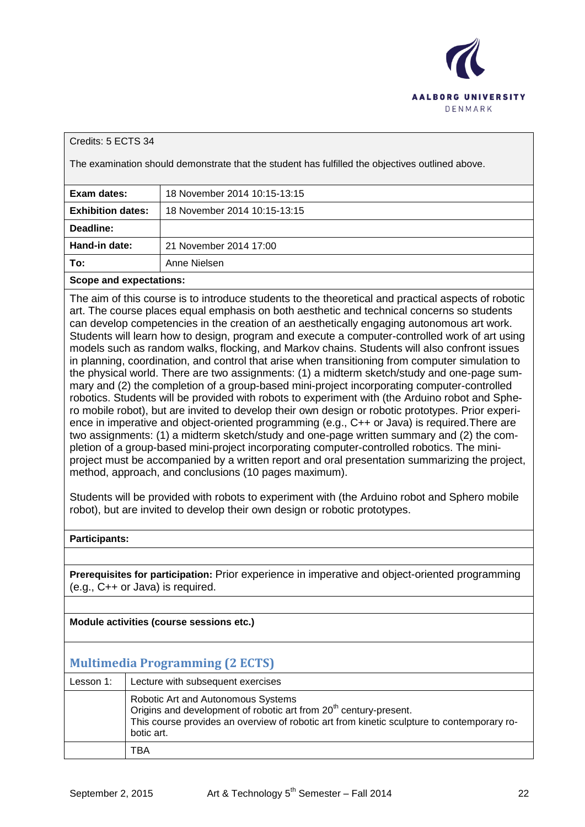

### Credits: 5 ECTS 34

The examination should demonstrate that the student has fulfilled the objectives outlined above.

| Exam dates:              | 18 November 2014 10:15-13:15 |
|--------------------------|------------------------------|
| <b>Exhibition dates:</b> | 18 November 2014 10:15-13:15 |
| Deadline:                |                              |
| Hand-in date:            | 21 November 2014 17:00       |
| To:                      | Anne Nielsen                 |
|                          |                              |

**Scope and expectations:**

The aim of this course is to introduce students to the theoretical and practical aspects of robotic art. The course places equal emphasis on both aesthetic and technical concerns so students can develop competencies in the creation of an aesthetically engaging autonomous art work. Students will learn how to design, program and execute a computer-controlled work of art using models such as random walks, flocking, and Markov chains. Students will also confront issues in planning, coordination, and control that arise when transitioning from computer simulation to the physical world. There are two assignments: (1) a midterm sketch/study and one-page summary and (2) the completion of a group-based mini-project incorporating computer-controlled robotics. Students will be provided with robots to experiment with (the Arduino robot and Sphero mobile robot), but are invited to develop their own design or robotic prototypes. Prior experience in imperative and object-oriented programming (e.g., C++ or Java) is required.There are two assignments: (1) a midterm sketch/study and one-page written summary and (2) the completion of a group-based mini-project incorporating computer-controlled robotics. The miniproject must be accompanied by a written report and oral presentation summarizing the project, method, approach, and conclusions (10 pages maximum).

Students will be provided with robots to experiment with (the Arduino robot and Sphero mobile robot), but are invited to develop their own design or robotic prototypes.

**Participants:**

**Prerequisites for participation:** Prior experience in imperative and object-oriented programming (e.g., C++ or Java) is required.

**Module activities (course sessions etc.)**

# **Multimedia Programming (2 ECTS)**

| Lesson 1: | Lecture with subsequent exercises                                                                                                                                                                                               |
|-----------|---------------------------------------------------------------------------------------------------------------------------------------------------------------------------------------------------------------------------------|
|           | Robotic Art and Autonomous Systems<br>Origins and development of robotic art from 20 <sup>th</sup> century-present.<br>This course provides an overview of robotic art from kinetic sculpture to contemporary ro-<br>botic art. |
|           | TBA                                                                                                                                                                                                                             |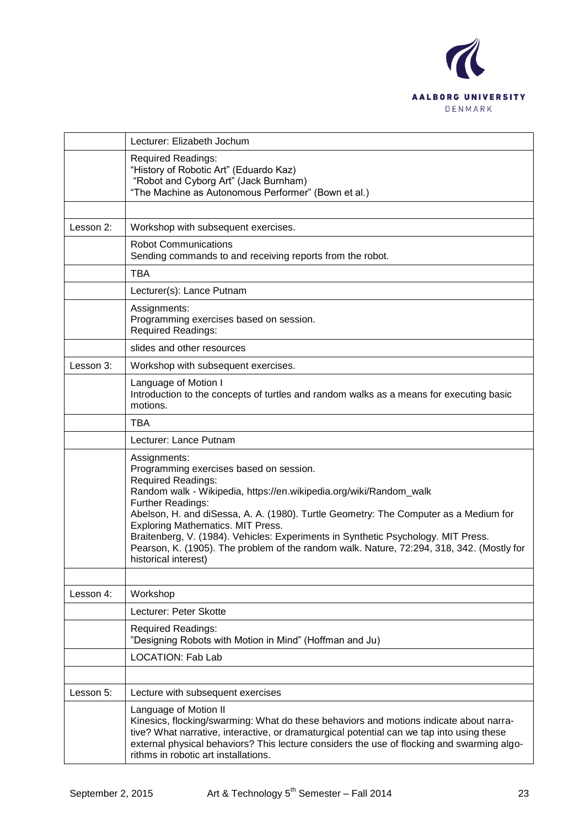

|           | Lecturer: Elizabeth Jochum                                                                                                                                                                                                                                                                                                                                                                                                                                                                                             |
|-----------|------------------------------------------------------------------------------------------------------------------------------------------------------------------------------------------------------------------------------------------------------------------------------------------------------------------------------------------------------------------------------------------------------------------------------------------------------------------------------------------------------------------------|
|           | <b>Required Readings:</b><br>"History of Robotic Art" (Eduardo Kaz)<br>"Robot and Cyborg Art" (Jack Burnham)<br>"The Machine as Autonomous Performer" (Bown et al.)                                                                                                                                                                                                                                                                                                                                                    |
|           |                                                                                                                                                                                                                                                                                                                                                                                                                                                                                                                        |
| Lesson 2: | Workshop with subsequent exercises.                                                                                                                                                                                                                                                                                                                                                                                                                                                                                    |
|           | <b>Robot Communications</b><br>Sending commands to and receiving reports from the robot.                                                                                                                                                                                                                                                                                                                                                                                                                               |
|           | <b>TBA</b>                                                                                                                                                                                                                                                                                                                                                                                                                                                                                                             |
|           | Lecturer(s): Lance Putnam                                                                                                                                                                                                                                                                                                                                                                                                                                                                                              |
|           | Assignments:<br>Programming exercises based on session.<br><b>Required Readings:</b>                                                                                                                                                                                                                                                                                                                                                                                                                                   |
|           | slides and other resources                                                                                                                                                                                                                                                                                                                                                                                                                                                                                             |
| Lesson 3: | Workshop with subsequent exercises.                                                                                                                                                                                                                                                                                                                                                                                                                                                                                    |
|           | Language of Motion I<br>Introduction to the concepts of turtles and random walks as a means for executing basic<br>motions.                                                                                                                                                                                                                                                                                                                                                                                            |
|           | <b>TBA</b>                                                                                                                                                                                                                                                                                                                                                                                                                                                                                                             |
|           | Lecturer: Lance Putnam                                                                                                                                                                                                                                                                                                                                                                                                                                                                                                 |
|           | Assignments:<br>Programming exercises based on session.<br><b>Required Readings:</b><br>Random walk - Wikipedia, https://en.wikipedia.org/wiki/Random_walk<br>Further Readings:<br>Abelson, H. and diSessa, A. A. (1980). Turtle Geometry: The Computer as a Medium for<br>Exploring Mathematics. MIT Press.<br>Braitenberg, V. (1984). Vehicles: Experiments in Synthetic Psychology. MIT Press.<br>Pearson, K. (1905). The problem of the random walk. Nature, 72:294, 318, 342. (Mostly for<br>historical interest) |
|           |                                                                                                                                                                                                                                                                                                                                                                                                                                                                                                                        |
| Lesson 4: | Workshop                                                                                                                                                                                                                                                                                                                                                                                                                                                                                                               |
|           | Lecturer: Peter Skotte                                                                                                                                                                                                                                                                                                                                                                                                                                                                                                 |
|           | <b>Required Readings:</b><br>"Designing Robots with Motion in Mind" (Hoffman and Ju)                                                                                                                                                                                                                                                                                                                                                                                                                                   |
|           | <b>LOCATION: Fab Lab</b>                                                                                                                                                                                                                                                                                                                                                                                                                                                                                               |
|           |                                                                                                                                                                                                                                                                                                                                                                                                                                                                                                                        |
| Lesson 5: | Lecture with subsequent exercises                                                                                                                                                                                                                                                                                                                                                                                                                                                                                      |
|           | Language of Motion II<br>Kinesics, flocking/swarming: What do these behaviors and motions indicate about narra-<br>tive? What narrative, interactive, or dramaturgical potential can we tap into using these<br>external physical behaviors? This lecture considers the use of flocking and swarming algo-<br>rithms in robotic art installations.                                                                                                                                                                     |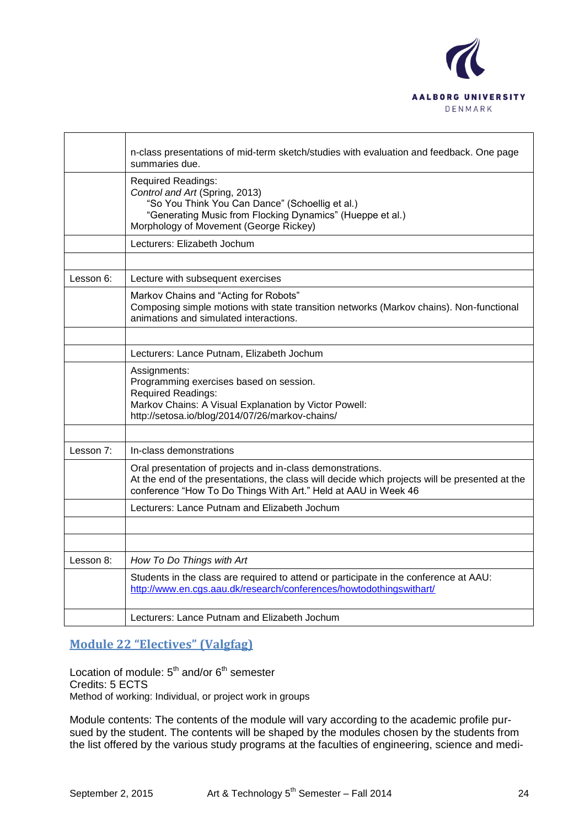

|           | n-class presentations of mid-term sketch/studies with evaluation and feedback. One page<br>summaries due.                                                                                                                      |
|-----------|--------------------------------------------------------------------------------------------------------------------------------------------------------------------------------------------------------------------------------|
|           | <b>Required Readings:</b><br>Control and Art (Spring, 2013)<br>"So You Think You Can Dance" (Schoellig et al.)<br>"Generating Music from Flocking Dynamics" (Hueppe et al.)<br>Morphology of Movement (George Rickey)          |
|           | Lecturers: Elizabeth Jochum                                                                                                                                                                                                    |
|           |                                                                                                                                                                                                                                |
| Lesson 6: | Lecture with subsequent exercises                                                                                                                                                                                              |
|           | Markov Chains and "Acting for Robots"<br>Composing simple motions with state transition networks (Markov chains). Non-functional<br>animations and simulated interactions.                                                     |
|           |                                                                                                                                                                                                                                |
|           | Lecturers: Lance Putnam, Elizabeth Jochum                                                                                                                                                                                      |
|           | Assignments:<br>Programming exercises based on session.<br><b>Required Readings:</b><br>Markov Chains: A Visual Explanation by Victor Powell:<br>http://setosa.io/blog/2014/07/26/markov-chains/                               |
|           |                                                                                                                                                                                                                                |
| Lesson 7: | In-class demonstrations                                                                                                                                                                                                        |
|           | Oral presentation of projects and in-class demonstrations.<br>At the end of the presentations, the class will decide which projects will be presented at the<br>conference "How To Do Things With Art." Held at AAU in Week 46 |
|           | Lecturers: Lance Putnam and Elizabeth Jochum                                                                                                                                                                                   |
|           |                                                                                                                                                                                                                                |
|           |                                                                                                                                                                                                                                |
| Lesson 8: | How To Do Things with Art                                                                                                                                                                                                      |
|           | Students in the class are required to attend or participate in the conference at AAU:<br>http://www.en.cgs.aau.dk/research/conferences/howtodothingswithart/                                                                   |
|           | Lecturers: Lance Putnam and Elizabeth Jochum                                                                                                                                                                                   |

# **Module 22 "Electives" (Valgfag)**

Location of module:  $5<sup>th</sup>$  and/or  $6<sup>th</sup>$  semester Credits: 5 ECTS Method of working: Individual, or project work in groups

Module contents: The contents of the module will vary according to the academic profile pursued by the student. The contents will be shaped by the modules chosen by the students from the list offered by the various study programs at the faculties of engineering, science and medi-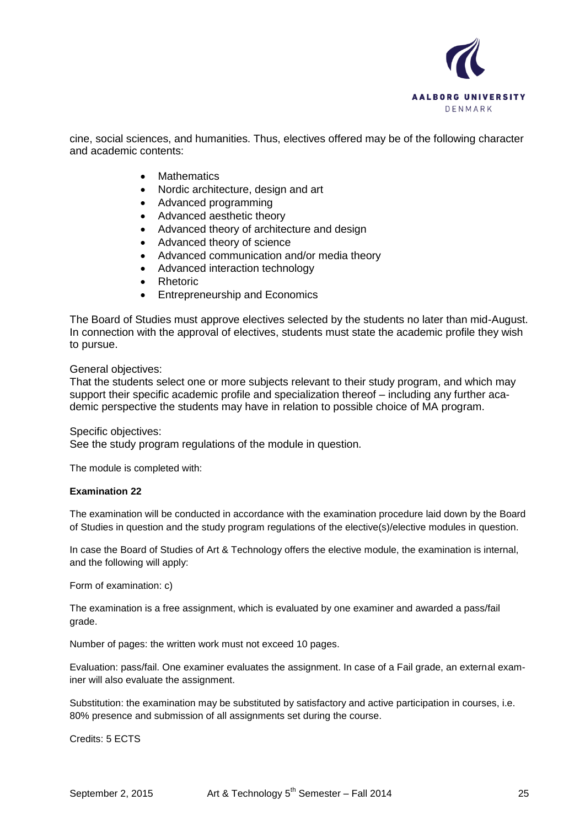

cine, social sciences, and humanities. Thus, electives offered may be of the following character and academic contents:

- **Mathematics**
- Nordic architecture, design and art
- Advanced programming
- Advanced aesthetic theory
- Advanced theory of architecture and design
- Advanced theory of science
- Advanced communication and/or media theory
- Advanced interaction technology
- Rhetoric
- Entrepreneurship and Economics

The Board of Studies must approve electives selected by the students no later than mid-August. In connection with the approval of electives, students must state the academic profile they wish to pursue.

General objectives:

That the students select one or more subjects relevant to their study program, and which may support their specific academic profile and specialization thereof – including any further academic perspective the students may have in relation to possible choice of MA program.

Specific objectives:

See the study program regulations of the module in question.

The module is completed with:

### **Examination 22**

The examination will be conducted in accordance with the examination procedure laid down by the Board of Studies in question and the study program regulations of the elective(s)/elective modules in question.

In case the Board of Studies of Art & Technology offers the elective module, the examination is internal, and the following will apply:

Form of examination: c)

The examination is a free assignment, which is evaluated by one examiner and awarded a pass/fail grade.

Number of pages: the written work must not exceed 10 pages.

Evaluation: pass/fail. One examiner evaluates the assignment. In case of a Fail grade, an external examiner will also evaluate the assignment.

Substitution: the examination may be substituted by satisfactory and active participation in courses, i.e. 80% presence and submission of all assignments set during the course.

Credits: 5 ECTS